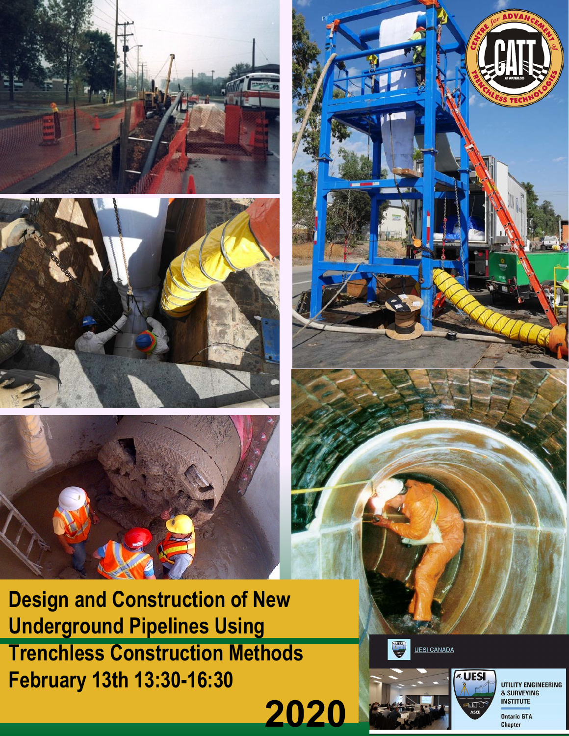





**Design and Construction of New Underground Pipelines Using Trenchless Construction Methods February 13th 13:30-16:30**





**UESI CANADA** 



UTILITY ENGINEERING & SURVEYING